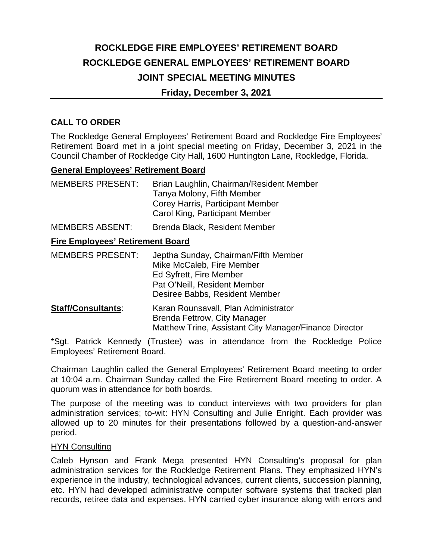# **ROCKLEDGE FIRE EMPLOYEES' RETIREMENT BOARD ROCKLEDGE GENERAL EMPLOYEES' RETIREMENT BOARD JOINT SPECIAL MEETING MINUTES**

### **Friday, December 3, 2021**

## **CALL TO ORDER**

The Rockledge General Employees' Retirement Board and Rockledge Fire Employees' Retirement Board met in a joint special meeting on Friday, December 3, 2021 in the Council Chamber of Rockledge City Hall, 1600 Huntington Lane, Rockledge, Florida.

#### **General Employees' Retirement Board**

| <b>MEMBERS PRESENT:</b> | Brian Laughlin, Chairman/Resident Member<br>Tanya Molony, Fifth Member |
|-------------------------|------------------------------------------------------------------------|
|                         | Corey Harris, Participant Member<br>Carol King, Participant Member     |

MEMBERS ABSENT: Brenda Black, Resident Member

### **Fire Employees' Retirement Board**

| <b>MEMBERS PRESENT:</b>   | Jeptha Sunday, Chairman/Fifth Member<br>Mike McCaleb, Fire Member<br>Ed Syfrett, Fire Member |
|---------------------------|----------------------------------------------------------------------------------------------|
|                           | Pat O'Neill, Resident Member<br>Desiree Babbs, Resident Member                               |
| <b>Staff/Consultants:</b> | Karan Rounsavall, Plan Administrator                                                         |

 Brenda Fettrow, City Manager Matthew Trine, Assistant City Manager/Finance Director

\*Sgt. Patrick Kennedy (Trustee) was in attendance from the Rockledge Police Employees' Retirement Board.

Chairman Laughlin called the General Employees' Retirement Board meeting to order at 10:04 a.m. Chairman Sunday called the Fire Retirement Board meeting to order. A quorum was in attendance for both boards.

The purpose of the meeting was to conduct interviews with two providers for plan administration services; to-wit: HYN Consulting and Julie Enright. Each provider was allowed up to 20 minutes for their presentations followed by a question-and-answer period.

#### **HYN Consulting**

Caleb Hynson and Frank Mega presented HYN Consulting's proposal for plan administration services for the Rockledge Retirement Plans. They emphasized HYN's experience in the industry, technological advances, current clients, succession planning, etc. HYN had developed administrative computer software systems that tracked plan records, retiree data and expenses. HYN carried cyber insurance along with errors and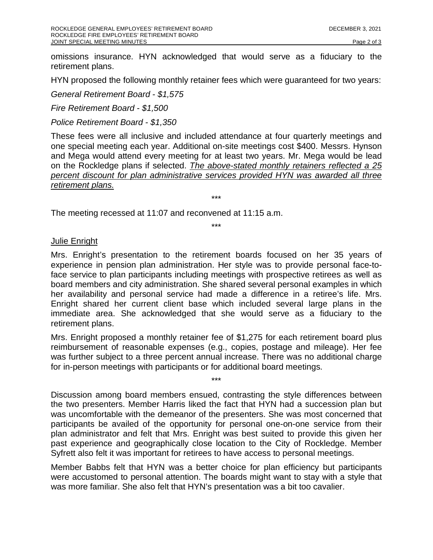omissions insurance. HYN acknowledged that would serve as a fiduciary to the retirement plans.

HYN proposed the following monthly retainer fees which were guaranteed for two years:

*General Retirement Board - \$1,575*

*Fire Retirement Board - \$1,500*

*Police Retirement Board - \$1,350*

These fees were all inclusive and included attendance at four quarterly meetings and one special meeting each year. Additional on-site meetings cost \$400. Messrs. Hynson and Mega would attend every meeting for at least two years. Mr. Mega would be lead on the Rockledge plans if selected. *The above-stated monthly retainers reflected a 25 percent discount for plan administrative services provided HYN was awarded all three retirement plans.*

\*\*\*

The meeting recessed at 11:07 and reconvened at 11:15 a.m.

\*\*\*

#### Julie Enright

Mrs. Enright's presentation to the retirement boards focused on her 35 years of experience in pension plan administration. Her style was to provide personal face-toface service to plan participants including meetings with prospective retirees as well as board members and city administration. She shared several personal examples in which her availability and personal service had made a difference in a retiree's life. Mrs. Enright shared her current client base which included several large plans in the immediate area. She acknowledged that she would serve as a fiduciary to the retirement plans.

Mrs. Enright proposed a monthly retainer fee of \$1,275 for each retirement board plus reimbursement of reasonable expenses (e.g., copies, postage and mileage). Her fee was further subject to a three percent annual increase. There was no additional charge for in-person meetings with participants or for additional board meetings.

\*\*\*

Discussion among board members ensued, contrasting the style differences between the two presenters. Member Harris liked the fact that HYN had a succession plan but was uncomfortable with the demeanor of the presenters. She was most concerned that participants be availed of the opportunity for personal one-on-one service from their plan administrator and felt that Mrs. Enright was best suited to provide this given her past experience and geographically close location to the City of Rockledge. Member Syfrett also felt it was important for retirees to have access to personal meetings.

Member Babbs felt that HYN was a better choice for plan efficiency but participants were accustomed to personal attention. The boards might want to stay with a style that was more familiar. She also felt that HYN's presentation was a bit too cavalier.